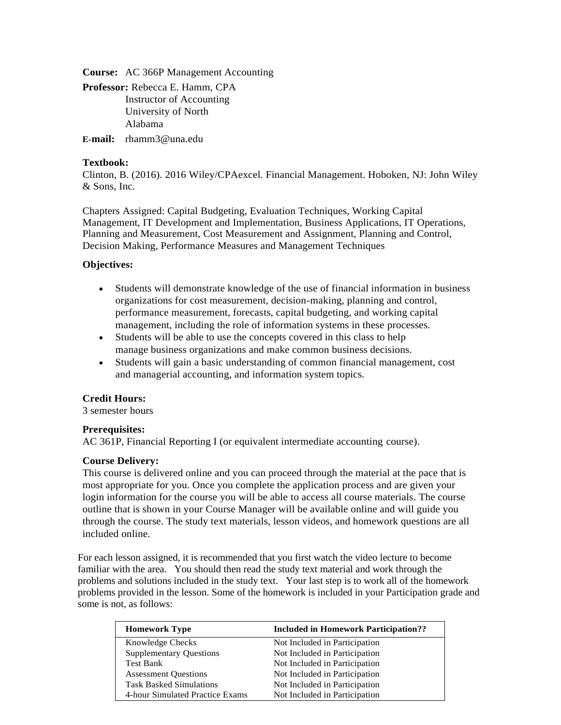**Course:** AC 366P Management Accounting

**Professor:** Rebecca E. Hamm, CPA Instructor of Accounting University of North Alabama

**E-mail:** rhamm3@una.edu

# **Textbook:**

Clinton, B. (2016). 2016 Wiley/CPAexcel. Financial Management. Hoboken, NJ: John Wiley & Sons, Inc.

Chapters Assigned: Capital Budgeting, Evaluation Techniques, Working Capital Management, IT Development and Implementation, Business Applications, IT Operations, Planning and Measurement, Cost Measurement and Assignment, Planning and Control, Decision Making, Performance Measures and Management Techniques

# **Objectives:**

- Students will demonstrate knowledge of the use of financial information in business organizations for cost measurement, decision-making, planning and control, performance measurement, forecasts, capital budgeting, and working capital management, including the role of information systems in these processes.
- Students will be able to use the concepts covered in this class to help manage business organizations and make common business decisions.
- Students will gain a basic understanding of common financial management, cost and managerial accounting, and information system topics.

# **Credit Hours:**

3 semester hours

# **Prerequisites:**

AC 361P, Financial Reporting I (or equivalent intermediate accounting course).

# **Course Delivery:**

This course is delivered online and you can proceed through the material at the pace that is most appropriate for you. Once you complete the application process and are given your login information for the course you will be able to access all course materials. The course outline that is shown in your Course Manager will be available online and will guide you through the course. The study text materials, lesson videos, and homework questions are all included online.

For each lesson assigned, it is recommended that you first watch the video lecture to become familiar with the area. You should then read the study text material and work through the problems and solutions included in the study text. Your last step is to work all of the homework problems provided in the lesson. Some of the homework is included in your Participation grade and some is not, as follows:

| <b>Homework Type</b>            | <b>Included in Homework Participation??</b> |
|---------------------------------|---------------------------------------------|
| <b>Knowledge Checks</b>         | Not Included in Participation               |
| <b>Supplementary Questions</b>  | Not Included in Participation               |
| <b>Test Bank</b>                | Not Included in Participation               |
| <b>Assessment Questions</b>     | Not Included in Participation               |
| <b>Task Basked Simulations</b>  | Not Included in Participation               |
| 4-hour Simulated Practice Exams | Not Included in Participation               |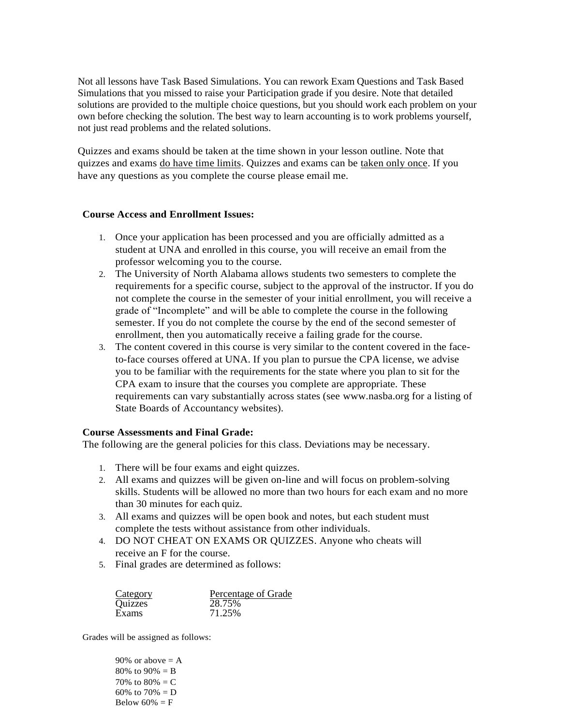Not all lessons have Task Based Simulations. You can rework Exam Questions and Task Based Simulations that you missed to raise your Participation grade if you desire. Note that detailed solutions are provided to the multiple choice questions, but you should work each problem on your own before checking the solution. The best way to learn accounting is to work problems yourself, not just read problems and the related solutions.

Quizzes and exams should be taken at the time shown in your lesson outline. Note that quizzes and exams do have time limits. Quizzes and exams can be taken only once. If you have any questions as you complete the course please email me.

## **Course Access and Enrollment Issues:**

- 1. Once your application has been processed and you are officially admitted as a student at UNA and enrolled in this course, you will receive an email from the professor welcoming you to the course.
- 2. The University of North Alabama allows students two semesters to complete the requirements for a specific course, subject to the approval of the instructor. If you do not complete the course in the semester of your initial enrollment, you will receive a grade of "Incomplete" and will be able to complete the course in the following semester. If you do not complete the course by the end of the second semester of enrollment, then you automatically receive a failing grade for the course.
- 3. The content covered in this course is very similar to the content covered in the faceto-face courses offered at UNA. If you plan to pursue the CPA license, we advise you to be familiar with the requirements for the state where you plan to sit for the CPA exam to insure that the courses you complete are appropriate. These requirements can vary substantially across states (see [www.nasba.org f](http://www.nasba.org/)or a listing of State Boards of Accountancy websites).

# **Course Assessments and Final Grade:**

The following are the general policies for this class. Deviations may be necessary.

- 1. There will be four exams and eight quizzes.
- 2. All exams and quizzes will be given on-line and will focus on problem-solving skills. Students will be allowed no more than two hours for each exam and no more than 30 minutes for each quiz.
- 3. All exams and quizzes will be open book and notes, but each student must complete the tests without assistance from other individuals.
- 4. DO NOT CHEAT ON EXAMS OR QUIZZES. Anyone who cheats will receive an F for the course.
- 5. Final grades are determined as follows:

| Category | Percentage of Grade |
|----------|---------------------|
| Quizzes  | 28.75%              |
| Exams    | 71.25%              |

Grades will be assigned as follows:

90% or above  $= A$ 80% to 90% =  $B$ 70% to  $80% = C$ 60% to  $70% = D$ Below  $60\% = F$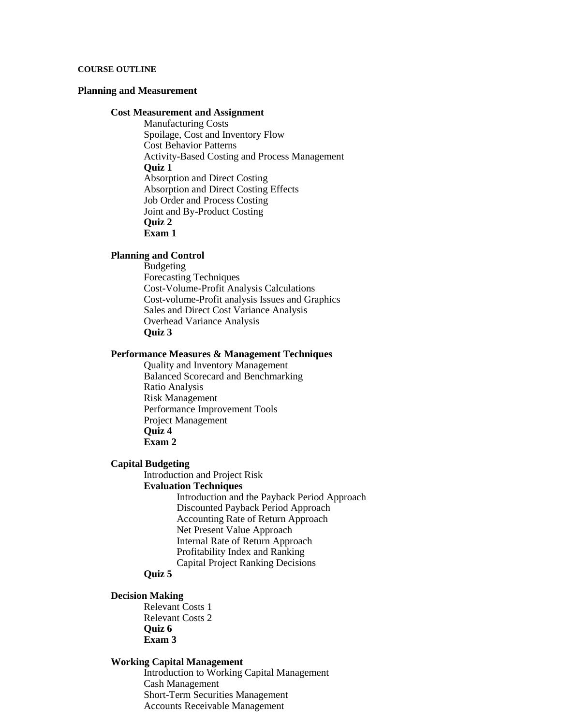### **COURSE OUTLINE**

## **Planning and Measurement**

### **Cost Measurement and Assignment**

Manufacturing Costs Spoilage, Cost and Inventory Flow Cost Behavior Patterns Activity-Based Costing and Process Management **Quiz 1** Absorption and Direct Costing Absorption and Direct Costing Effects Job Order and Process Costing Joint and By-Product Costing **Quiz 2 Exam 1**

### **Planning and Control**

Budgeting Forecasting Techniques Cost-Volume-Profit Analysis Calculations Cost-volume-Profit analysis Issues and Graphics Sales and Direct Cost Variance Analysis Overhead Variance Analysis **Quiz 3**

## **Performance Measures & Management Techniques**

Quality and Inventory Management Balanced Scorecard and Benchmarking Ratio Analysis Risk Management Performance Improvement Tools Project Management **Quiz 4 Exam 2**

#### **Capital Budgeting**

Introduction and Project Risk **Evaluation Techniques** Introduction and the Payback Period Approach Discounted Payback Period Approach Accounting Rate of Return Approach Net Present Value Approach Internal Rate of Return Approach Profitability Index and Ranking Capital Project Ranking Decisions

# **Quiz 5**

### **Decision Making**

Relevant Costs 1 Relevant Costs 2 **Quiz 6 Exam 3**

### **Working Capital Management**

Introduction to Working Capital Management Cash Management Short-Term Securities Management Accounts Receivable Management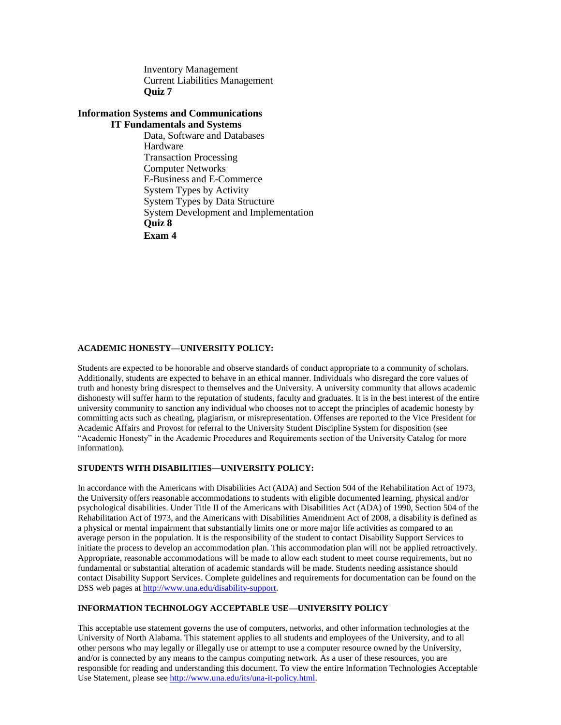Inventory Management Current Liabilities Management **Quiz 7**

### **Information Systems and Communications IT Fundamentals and Systems**

Data, Software and Databases Hardware Transaction Processing Computer Networks E-Business and E-Commerce System Types by Activity System Types by Data Structure System Development and Implementation **Quiz 8 Exam 4**

### **ACADEMIC HONESTY—UNIVERSITY POLICY:**

Students are expected to be honorable and observe standards of conduct appropriate to a community of scholars. Additionally, students are expected to behave in an ethical manner. Individuals who disregard the core values of truth and honesty bring disrespect to themselves and the University. A university community that allows academic dishonesty will suffer harm to the reputation of students, faculty and graduates. It is in the best interest of the entire university community to sanction any individual who chooses not to accept the principles of academic honesty by committing acts such as cheating, plagiarism, or misrepresentation. Offenses are reported to the Vice President for Academic Affairs and Provost for referral to the University Student Discipline System for disposition (see "Academic Honesty" in the Academic Procedures and Requirements section of the University Catalog for more information).

## **STUDENTS WITH DISABILITIES—UNIVERSITY POLICY:**

In accordance with the Americans with Disabilities Act (ADA) and Section 504 of the Rehabilitation Act of 1973, the University offers reasonable accommodations to students with eligible documented learning, physical and/or psychological disabilities. Under Title II of the Americans with Disabilities Act (ADA) of 1990, Section 504 of the Rehabilitation Act of 1973, and the Americans with Disabilities Amendment Act of 2008, a disability is defined as a physical or mental impairment that substantially limits one or more major life activities as compared to an average person in the population. It is the responsibility of the student to contact Disability Support Services to initiate the process to develop an accommodation plan. This accommodation plan will not be applied retroactively. Appropriate, reasonable accommodations will be made to allow each student to meet course requirements, but no fundamental or substantial alteration of academic standards will be made. Students needing assistance should contact Disability Support Services. Complete guidelines and requirements for documentation can be found on the DSS web pages at [http://www.una.edu/disability-support.](http://www.una.edu/disability-support)

### **INFORMATION TECHNOLOGY ACCEPTABLE USE—UNIVERSITY POLICY**

This acceptable use statement governs the use of computers, networks, and other information technologies at the University of North Alabama. This statement applies to all students and employees of the University, and to all other persons who may legally or illegally use or attempt to use a computer resource owned by the University, and/or is connected by any means to the campus computing network. As a user of these resources, you are responsible for reading and understanding this document. To view the entire Information Technologies Acceptable Use Statement, please se[e http://www.una.edu/its/una-it-policy.html.](http://www.una.edu/its/una-it-policy.html)